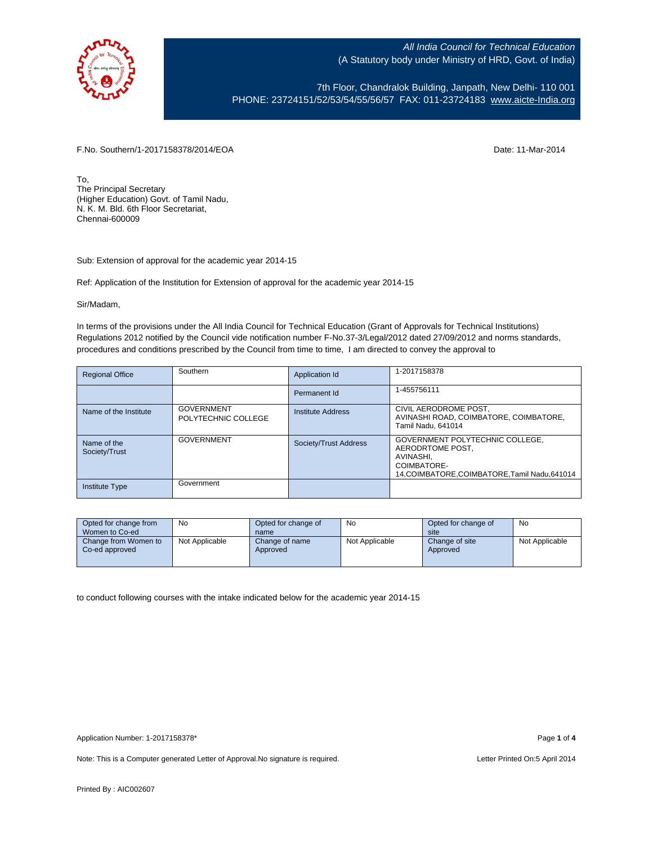

7th Floor, Chandralok Building, Janpath, New Delhi- 110 001 PHONE: 23724151/52/53/54/55/56/57 FAX: 011-23724183 [www.aicte-India.org](http://www.aicte-india.org/)

F.No. Southern/1-2017158378/2014/EOA Date: 11-Mar-2014

To, The Principal Secretary (Higher Education) Govt. of Tamil Nadu, N. K. M. Bld. 6th Floor Secretariat, Chennai-600009

Sub: Extension of approval for the academic year 2014-15

Ref: Application of the Institution for Extension of approval for the academic year 2014-15

Sir/Madam,

In terms of the provisions under the All India Council for Technical Education (Grant of Approvals for Technical Institutions) Regulations 2012 notified by the Council vide notification number F-No.37-3/Legal/2012 dated 27/09/2012 and norms standards, procedures and conditions prescribed by the Council from time to time, I am directed to convey the approval to

| <b>Regional Office</b>       | Southern                                 | Application Id        | 1-2017158378                                                                                                                      |
|------------------------------|------------------------------------------|-----------------------|-----------------------------------------------------------------------------------------------------------------------------------|
|                              |                                          | Permanent Id          | 1-455756111                                                                                                                       |
| Name of the Institute        | <b>GOVERNMENT</b><br>POLYTECHNIC COLLEGE | Institute Address     | CIVIL AERODROME POST,<br>AVINASHI ROAD, COIMBATORE, COIMBATORE,<br>Tamil Nadu, 641014                                             |
| Name of the<br>Society/Trust | <b>GOVERNMENT</b>                        | Society/Trust Address | GOVERNMENT POLYTECHNIC COLLEGE,<br>AERODRTOME POST.<br>AVINASHI.<br>COIMBATORE-<br>14, COIMBATORE, COIMBATORE, Tamil Nadu, 641014 |
| <b>Institute Type</b>        | Government                               |                       |                                                                                                                                   |

| Opted for change from                  | No             | Opted for change of        | No             | Opted for change of        | No             |
|----------------------------------------|----------------|----------------------------|----------------|----------------------------|----------------|
| Women to Co-ed                         |                | name                       |                | site                       |                |
| Change from Women to<br>Co-ed approved | Not Applicable | Change of name<br>Approved | Not Applicable | Change of site<br>Approved | Not Applicable |

to conduct following courses with the intake indicated below for the academic year 2014-15

Note: This is a Computer generated Letter of Approval.No signature is required. <br>
Note: This is a Computer generated Letter of Approval.No signature is required.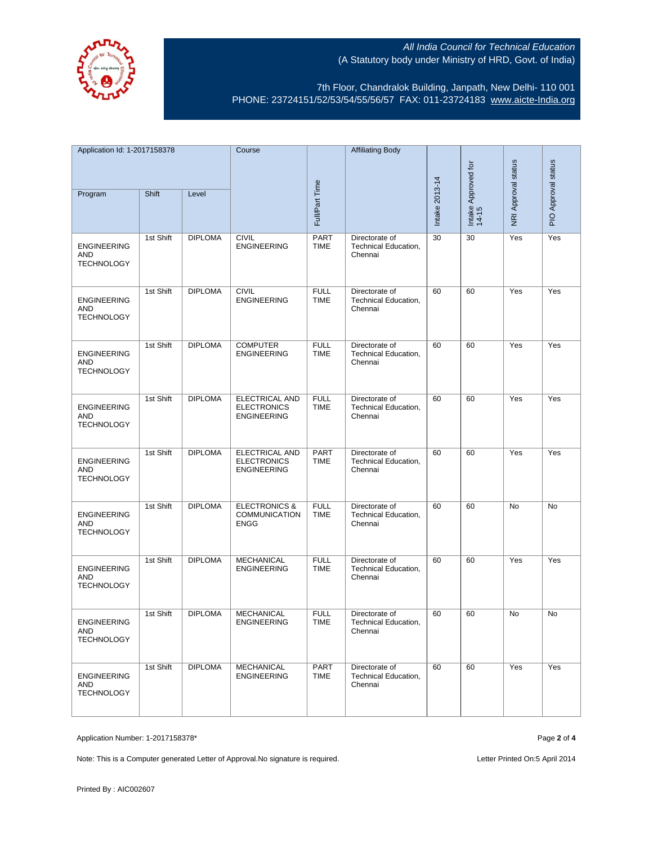

7th Floor, Chandralok Building, Janpath, New Delhi- 110 001 PHONE: 23724151/52/53/54/55/56/57 FAX: 011-23724183 [www.aicte-India.org](http://www.aicte-india.org/)

| Application Id: 1-2017158378                   |           | Course         |                                                                   | <b>Affiliating Body</b>    |                                                          |                |                              |                     |                     |
|------------------------------------------------|-----------|----------------|-------------------------------------------------------------------|----------------------------|----------------------------------------------------------|----------------|------------------------------|---------------------|---------------------|
|                                                |           |                |                                                                   |                            |                                                          |                |                              |                     |                     |
| Program                                        | Shift     | Level          |                                                                   | Full/Part Time             |                                                          | Intake 2013-14 | Intake Approved for<br>14-15 | NRI Approval status | PIO Approval status |
| <b>ENGINEERING</b><br>AND<br><b>TECHNOLOGY</b> | 1st Shift | <b>DIPLOMA</b> | <b>CIVIL</b><br><b>ENGINEERING</b>                                | <b>PART</b><br><b>TIME</b> | Directorate of<br>Technical Education,<br>Chennai        | 30             | 30                           | Yes                 | Yes                 |
| <b>ENGINEERING</b><br>AND<br><b>TECHNOLOGY</b> | 1st Shift | <b>DIPLOMA</b> | <b>CIVIL</b><br><b>ENGINEERING</b>                                | <b>FULL</b><br><b>TIME</b> | Directorate of<br><b>Technical Education,</b><br>Chennai | 60             | 60                           | Yes                 | Yes                 |
| <b>ENGINEERING</b><br>AND<br><b>TECHNOLOGY</b> | 1st Shift | <b>DIPLOMA</b> | <b>COMPUTER</b><br><b>ENGINEERING</b>                             | <b>FULL</b><br><b>TIME</b> | Directorate of<br>Technical Education,<br>Chennai        | 60             | 60                           | Yes                 | Yes                 |
| <b>ENGINEERING</b><br>AND<br><b>TECHNOLOGY</b> | 1st Shift | <b>DIPLOMA</b> | <b>ELECTRICAL AND</b><br><b>ELECTRONICS</b><br><b>ENGINEERING</b> | <b>FULL</b><br><b>TIME</b> | Directorate of<br>Technical Education,<br>Chennai        | 60             | 60                           | Yes                 | Yes                 |
| <b>ENGINEERING</b><br>AND<br><b>TECHNOLOGY</b> | 1st Shift | <b>DIPLOMA</b> | ELECTRICAL AND<br><b>ELECTRONICS</b><br><b>ENGINEERING</b>        | <b>PART</b><br>TIME        | Directorate of<br>Technical Education,<br>Chennai        | 60             | 60                           | Yes                 | Yes                 |
| <b>ENGINEERING</b><br>AND<br><b>TECHNOLOGY</b> | 1st Shift | <b>DIPLOMA</b> | <b>ELECTRONICS &amp;</b><br><b>COMMUNICATION</b><br><b>ENGG</b>   | <b>FULL</b><br><b>TIME</b> | Directorate of<br>Technical Education,<br>Chennai        | 60             | 60                           | No                  | No                  |
| <b>ENGINEERING</b><br>AND<br><b>TECHNOLOGY</b> | 1st Shift | <b>DIPLOMA</b> | <b>MECHANICAL</b><br><b>ENGINEERING</b>                           | <b>FULL</b><br><b>TIME</b> | Directorate of<br>Technical Education,<br>Chennai        | 60             | 60                           | Yes                 | Yes                 |
| <b>ENGINEERING</b><br>AND<br><b>TECHNOLOGY</b> | 1st Shift | <b>DIPLOMA</b> | <b>MECHANICAL</b><br><b>ENGINEERING</b>                           | <b>FULL</b><br><b>TIME</b> | Directorate of<br>Technical Education,<br>Chennai        | 60             | 60                           | No                  | No                  |
| <b>ENGINEERING</b><br>AND<br><b>TECHNOLOGY</b> | 1st Shift | <b>DIPLOMA</b> | <b>MECHANICAL</b><br><b>ENGINEERING</b>                           | <b>PART</b><br><b>TIME</b> | Directorate of<br>Technical Education,<br>Chennai        | 60             | 60                           | Yes                 | Yes                 |

Application Number: 1-2017158378\* Page **2** of **4**

Note: This is a Computer generated Letter of Approval.No signature is required. <br>
Note: This is a Computer generated Letter of Approval.No signature is required.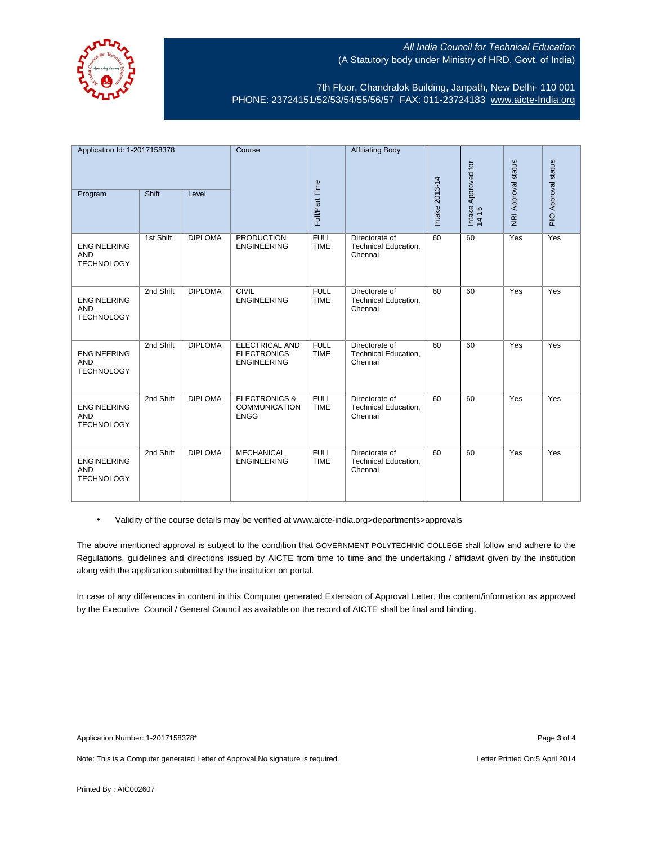

7th Floor, Chandralok Building, Janpath, New Delhi- 110 001 PHONE: 23724151/52/53/54/55/56/57 FAX: 011-23724183 [www.aicte-India.org](http://www.aicte-india.org/)

| Application Id: 1-2017158378                          |           | Course         |                                                                 | <b>Affiliating Body</b>    |                                                   |                |                              |                     |                     |
|-------------------------------------------------------|-----------|----------------|-----------------------------------------------------------------|----------------------------|---------------------------------------------------|----------------|------------------------------|---------------------|---------------------|
|                                                       |           |                |                                                                 |                            |                                                   |                |                              |                     |                     |
| Program                                               | Shift     | Level          |                                                                 | Full/Part Time             |                                                   | Intake 2013-14 | Intake Approved for<br>14-15 | NRI Approval status | PIO Approval status |
| <b>ENGINEERING</b><br><b>AND</b><br><b>TECHNOLOGY</b> | 1st Shift | <b>DIPLOMA</b> | <b>PRODUCTION</b><br><b>ENGINEERING</b>                         | <b>FULL</b><br><b>TIME</b> | Directorate of<br>Technical Education,<br>Chennai | 60             | 60                           | Yes                 | Yes                 |
| <b>ENGINEERING</b><br><b>AND</b><br><b>TECHNOLOGY</b> | 2nd Shift | <b>DIPLOMA</b> | <b>CIVIL</b><br><b>ENGINEERING</b>                              | <b>FULL</b><br><b>TIME</b> | Directorate of<br>Technical Education,<br>Chennai | 60             | 60                           | Yes                 | Yes                 |
| <b>ENGINEERING</b><br><b>AND</b><br><b>TECHNOLOGY</b> | 2nd Shift | <b>DIPLOMA</b> | ELECTRICAL AND<br><b>ELECTRONICS</b><br><b>ENGINEERING</b>      | <b>FULL</b><br><b>TIME</b> | Directorate of<br>Technical Education,<br>Chennai | 60             | 60                           | Yes                 | Yes                 |
| <b>ENGINEERING</b><br><b>AND</b><br><b>TECHNOLOGY</b> | 2nd Shift | <b>DIPLOMA</b> | <b>ELECTRONICS &amp;</b><br><b>COMMUNICATION</b><br><b>ENGG</b> | <b>FULL</b><br><b>TIME</b> | Directorate of<br>Technical Education,<br>Chennai | 60             | 60                           | Yes                 | Yes                 |
| <b>ENGINEERING</b><br><b>AND</b><br><b>TECHNOLOGY</b> | 2nd Shift | <b>DIPLOMA</b> | <b>MECHANICAL</b><br><b>ENGINEERING</b>                         | <b>FULL</b><br><b>TIME</b> | Directorate of<br>Technical Education,<br>Chennai | 60             | 60                           | Yes                 | Yes                 |

• Validity of the course details may be verified at www.aicte-india.org>departments>approvals

The above mentioned approval is subject to the condition that GOVERNMENT POLYTECHNIC COLLEGE shall follow and adhere to the Regulations, guidelines and directions issued by AICTE from time to time and the undertaking / affidavit given by the institution along with the application submitted by the institution on portal.

In case of any differences in content in this Computer generated Extension of Approval Letter, the content/information as approved by the Executive Council / General Council as available on the record of AICTE shall be final and binding.

Note: This is a Computer generated Letter of Approval.No signature is required. <br>
Note: This is a Computer generated Letter of Approval.No signature is required.